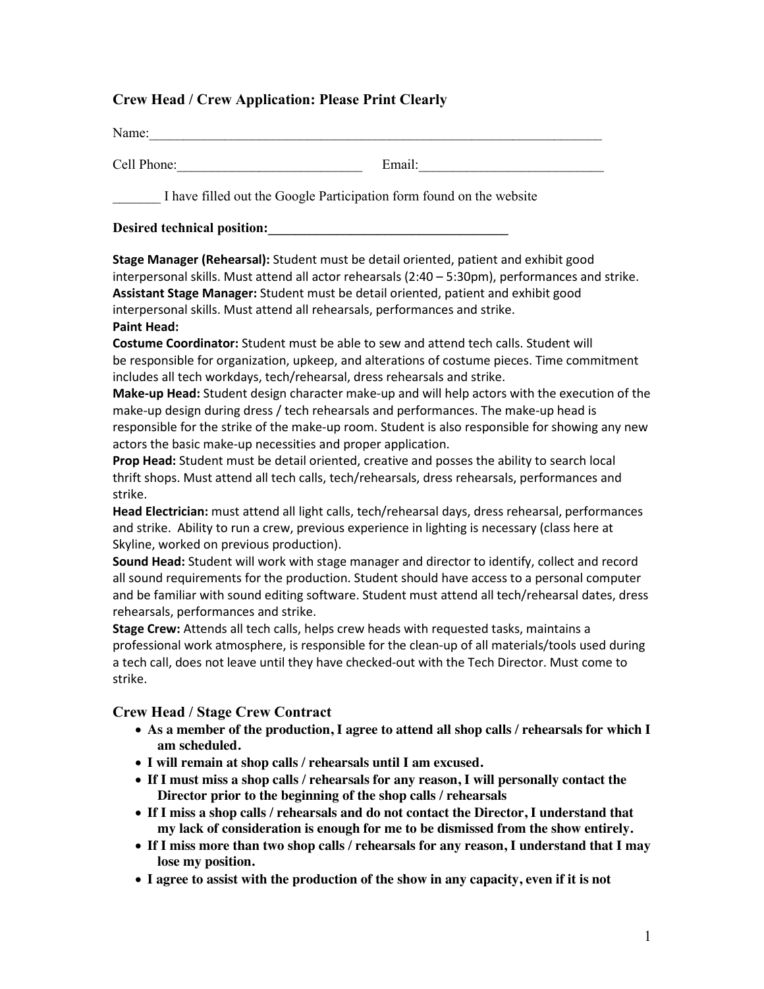## **Crew Head / Crew Application: Please Print Clearly**

| Name:                                                                                                               |                                                                                                                                                                                                                                                                                                                                                                                                                                                                                                                                                                                                                                                                                                                                                                                                                                                                                                                                                                                                                                                                                                                                                                                                                                                                        |
|---------------------------------------------------------------------------------------------------------------------|------------------------------------------------------------------------------------------------------------------------------------------------------------------------------------------------------------------------------------------------------------------------------------------------------------------------------------------------------------------------------------------------------------------------------------------------------------------------------------------------------------------------------------------------------------------------------------------------------------------------------------------------------------------------------------------------------------------------------------------------------------------------------------------------------------------------------------------------------------------------------------------------------------------------------------------------------------------------------------------------------------------------------------------------------------------------------------------------------------------------------------------------------------------------------------------------------------------------------------------------------------------------|
| Cell Phone:                                                                                                         | Email:                                                                                                                                                                                                                                                                                                                                                                                                                                                                                                                                                                                                                                                                                                                                                                                                                                                                                                                                                                                                                                                                                                                                                                                                                                                                 |
|                                                                                                                     | I have filled out the Google Participation form found on the website                                                                                                                                                                                                                                                                                                                                                                                                                                                                                                                                                                                                                                                                                                                                                                                                                                                                                                                                                                                                                                                                                                                                                                                                   |
| Desired technical position:                                                                                         |                                                                                                                                                                                                                                                                                                                                                                                                                                                                                                                                                                                                                                                                                                                                                                                                                                                                                                                                                                                                                                                                                                                                                                                                                                                                        |
| <b>Paint Head:</b>                                                                                                  | Stage Manager (Rehearsal): Student must be detail oriented, patient and exhibit good<br>interpersonal skills. Must attend all actor rehearsals (2:40 - 5:30pm), performances and strike.<br>Assistant Stage Manager: Student must be detail oriented, patient and exhibit good<br>interpersonal skills. Must attend all rehearsals, performances and strike.                                                                                                                                                                                                                                                                                                                                                                                                                                                                                                                                                                                                                                                                                                                                                                                                                                                                                                           |
| actors the basic make-up necessities and proper application.<br>strike.<br>Skyline, worked on previous production). | Costume Coordinator: Student must be able to sew and attend tech calls. Student will<br>be responsible for organization, upkeep, and alterations of costume pieces. Time commitment<br>includes all tech workdays, tech/rehearsal, dress rehearsals and strike.<br>Make-up Head: Student design character make-up and will help actors with the execution of the<br>make-up design during dress / tech rehearsals and performances. The make-up head is<br>responsible for the strike of the make-up room. Student is also responsible for showing any new<br>Prop Head: Student must be detail oriented, creative and posses the ability to search local<br>thrift shops. Must attend all tech calls, tech/rehearsals, dress rehearsals, performances and<br>Head Electrician: must attend all light calls, tech/rehearsal days, dress rehearsal, performances<br>and strike. Ability to run a crew, previous experience in lighting is necessary (class here at<br>Sound Head: Student will work with stage manager and director to identify, collect and record<br>all sound requirements for the production. Student should have access to a personal computer<br>and be familiar with sound editing software. Student must attend all tech/rehearsal dates, dress |
| rehearsals, performances and strike.<br>strike.                                                                     | Stage Crew: Attends all tech calls, helps crew heads with requested tasks, maintains a<br>professional work atmosphere, is responsible for the clean-up of all materials/tools used during<br>a tech call, does not leave until they have checked-out with the Tech Director. Must come to                                                                                                                                                                                                                                                                                                                                                                                                                                                                                                                                                                                                                                                                                                                                                                                                                                                                                                                                                                             |
| <b>Crew Head / Stage Crew Contract</b><br>am scheduled.                                                             | • As a member of the production, I agree to attend all shop calls / rehearsals for which I                                                                                                                                                                                                                                                                                                                                                                                                                                                                                                                                                                                                                                                                                                                                                                                                                                                                                                                                                                                                                                                                                                                                                                             |
| lose my position.                                                                                                   | • I will remain at shop calls / rehearsals until I am excused.<br>• If I must miss a shop calls / rehearsals for any reason, I will personally contact the<br>Director prior to the beginning of the shop calls / rehearsals<br>• If I miss a shop calls / rehearsals and do not contact the Director, I understand that<br>my lack of consideration is enough for me to be dismissed from the show entirely.<br>• If I miss more than two shop calls / rehearsals for any reason, I understand that I may<br>• I agree to assist with the production of the show in any capacity, even if it is not                                                                                                                                                                                                                                                                                                                                                                                                                                                                                                                                                                                                                                                                   |